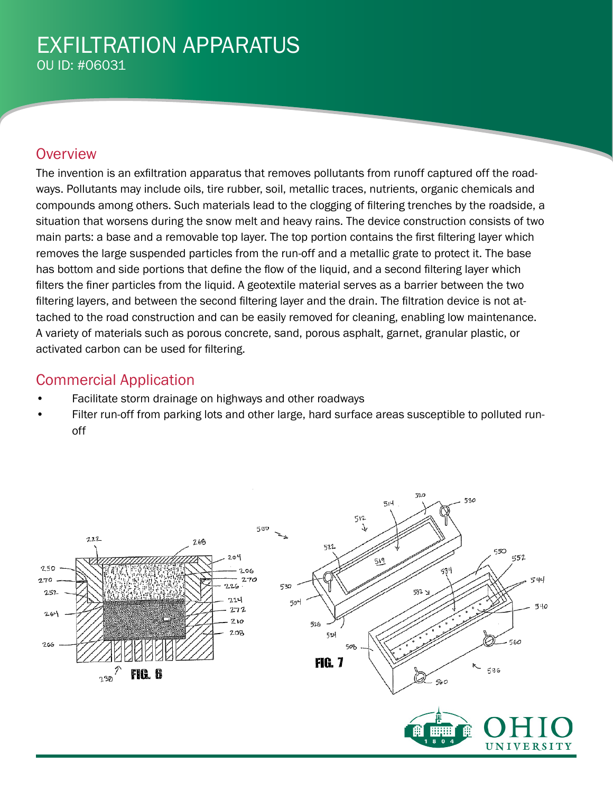### EXFILTRATION APPARATUS OU ID: #06031

#### **Overview**

The invention is an exfiltration apparatus that removes pollutants from runoff captured off the roadways. Pollutants may include oils, tire rubber, soil, metallic traces, nutrients, organic chemicals and compounds among others. Such materials lead to the clogging of filtering trenches by the roadside, a situation that worsens during the snow melt and heavy rains. The device construction consists of two main parts: a base and a removable top layer. The top portion contains the first filtering layer which removes the large suspended particles from the run-off and a metallic grate to protect it. The base has bottom and side portions that define the flow of the liquid, and a second filtering layer which filters the finer particles from the liquid. A geotextile material serves as a barrier between the two filtering layers, and between the second filtering layer and the drain. The filtration device is not attached to the road construction and can be easily removed for cleaning, enabling low maintenance. A variety of materials such as porous concrete, sand, porous asphalt, garnet, granular plastic, or activated carbon can be used for filtering.

### Commercial Application

- Facilitate storm drainage on highways and other roadways
- Filter run-off from parking lots and other large, hard surface areas susceptible to polluted runoff